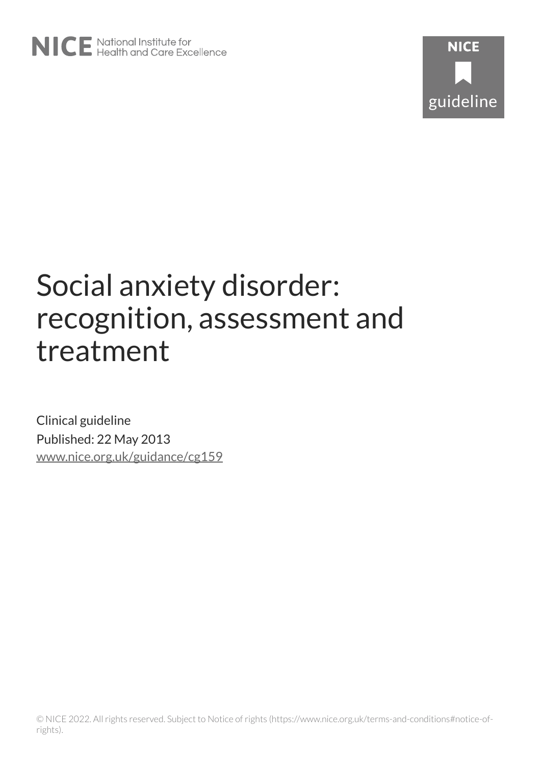# Social anxiety disorder: recognition, assessment and treatment

Clinical guideline Published: 22 May 2013 [www.nice.org.uk/guidance/cg159](https://www.nice.org.uk/guidance/cg159)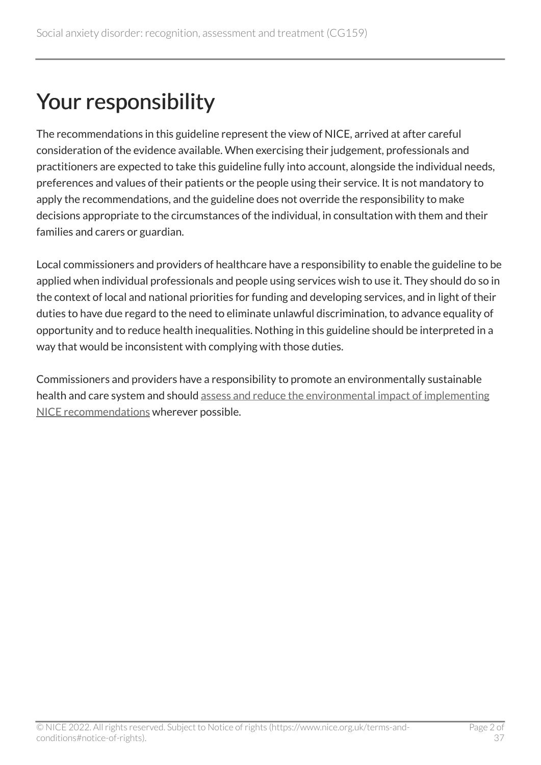## Your responsibility

The recommendations in this guideline represent the view of NICE, arrived at after careful consideration of the evidence available. When exercising their judgement, professionals and practitioners are expected to take this guideline fully into account, alongside the individual needs, preferences and values of their patients or the people using their service. It is not mandatory to apply the recommendations, and the guideline does not override the responsibility to make decisions appropriate to the circumstances of the individual, in consultation with them and their families and carers or guardian.

Local commissioners and providers of healthcare have a responsibility to enable the guideline to be applied when individual professionals and people using services wish to use it. They should do so in the context of local and national priorities for funding and developing services, and in light of their duties to have due regard to the need to eliminate unlawful discrimination, to advance equality of opportunity and to reduce health inequalities. Nothing in this guideline should be interpreted in a way that would be inconsistent with complying with those duties.

Commissioners and providers have a responsibility to promote an environmentally sustainable health and care system and should [assess and reduce the environmental impact of implementing](https://www.nice.org.uk/about/who-we-are/sustainability)  [NICE recommendations](https://www.nice.org.uk/about/who-we-are/sustainability) wherever possible.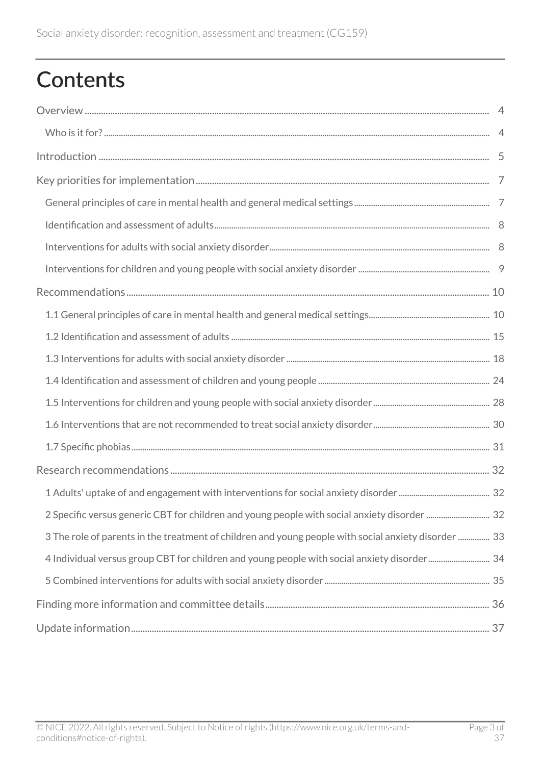## **Contents**

| 33 The role of parents in the treatment of children and young people with social anxiety disorder  33 |  |
|-------------------------------------------------------------------------------------------------------|--|
| 4 Individual versus group CBT for children and young people with social anxiety disorder 34           |  |
|                                                                                                       |  |
|                                                                                                       |  |
|                                                                                                       |  |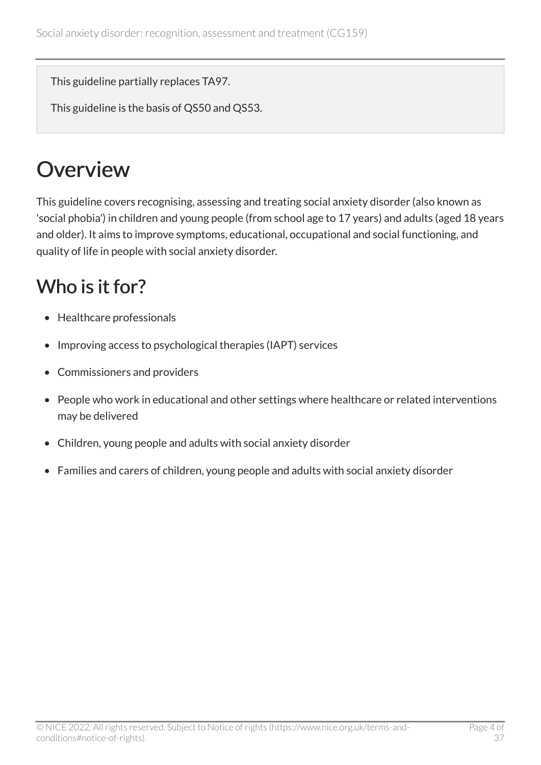This guideline partially replaces TA97.

This guideline is the basis of QS50 and QS53.

## <span id="page-3-0"></span>**Overview**

This guideline covers recognising, assessing and treating social anxiety disorder (also known as 'social phobia') in children and young people (from school age to 17 years) and adults (aged 18 years and older). It aims to improve symptoms, educational, occupational and social functioning, and quality of life in people with social anxiety disorder.

## <span id="page-3-1"></span>Who is it for?

- Healthcare professionals
- Improving access to psychological therapies (IAPT) services
- Commissioners and providers
- People who work in educational and other settings where healthcare or related interventions may be delivered
- Children, young people and adults with social anxiety disorder
- Families and carers of children, young people and adults with social anxiety disorder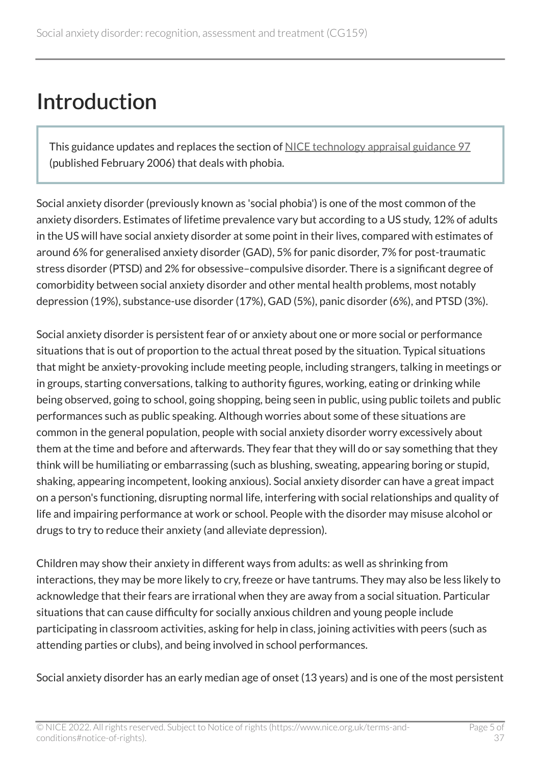## <span id="page-4-0"></span>Introduction

This guidance updates and replaces the section of [NICE technology appraisal guidance](https://www.nice.org.uk/guidance/ta97) 97 (published February 2006) that deals with phobia.

Social anxiety disorder (previously known as 'social phobia') is one of the most common of the anxiety disorders. Estimates of lifetime prevalence vary but according to a US study, 12% of adults in the US will have social anxiety disorder at some point in their lives, compared with estimates of around 6% for generalised anxiety disorder (GAD), 5% for panic disorder, 7% for post-traumatic stress disorder (PTSD) and 2% for obsessive–compulsive disorder. There is a significant degree of comorbidity between social anxiety disorder and other mental health problems, most notably depression (19%), substance-use disorder (17%), GAD (5%), panic disorder (6%), and PTSD (3%).

Social anxiety disorder is persistent fear of or anxiety about one or more social or performance situations that is out of proportion to the actual threat posed by the situation. Typical situations that might be anxiety-provoking include meeting people, including strangers, talking in meetings or in groups, starting conversations, talking to authority figures, working, eating or drinking while being observed, going to school, going shopping, being seen in public, using public toilets and public performances such as public speaking. Although worries about some of these situations are common in the general population, people with social anxiety disorder worry excessively about them at the time and before and afterwards. They fear that they will do or say something that they think will be humiliating or embarrassing (such as blushing, sweating, appearing boring or stupid, shaking, appearing incompetent, looking anxious). Social anxiety disorder can have a great impact on a person's functioning, disrupting normal life, interfering with social relationships and quality of life and impairing performance at work or school. People with the disorder may misuse alcohol or drugs to try to reduce their anxiety (and alleviate depression).

Children may show their anxiety in different ways from adults: as well as shrinking from interactions, they may be more likely to cry, freeze or have tantrums. They may also be less likely to acknowledge that their fears are irrational when they are away from a social situation. Particular situations that can cause difficulty for socially anxious children and young people include participating in classroom activities, asking for help in class, joining activities with peers (such as attending parties or clubs), and being involved in school performances.

Social anxiety disorder has an early median age of onset (13 years) and is one of the most persistent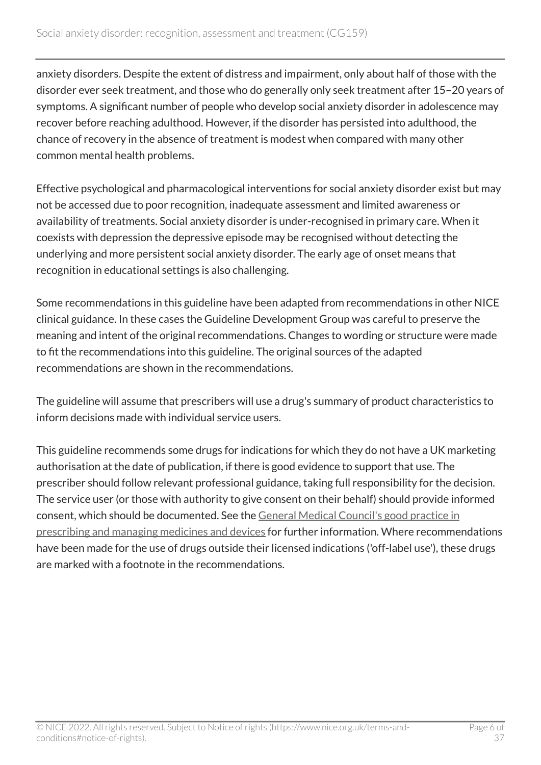anxiety disorders. Despite the extent of distress and impairment, only about half of those with the disorder ever seek treatment, and those who do generally only seek treatment after 15–20 years of symptoms. A significant number of people who develop social anxiety disorder in adolescence may recover before reaching adulthood. However, if the disorder has persisted into adulthood, the chance of recovery in the absence of treatment is modest when compared with many other common mental health problems.

Effective psychological and pharmacological interventions for social anxiety disorder exist but may not be accessed due to poor recognition, inadequate assessment and limited awareness or availability of treatments. Social anxiety disorder is under-recognised in primary care. When it coexists with depression the depressive episode may be recognised without detecting the underlying and more persistent social anxiety disorder. The early age of onset means that recognition in educational settings is also challenging.

Some recommendations in this guideline have been adapted from recommendations in other NICE clinical guidance. In these cases the Guideline Development Group was careful to preserve the meaning and intent of the original recommendations. Changes to wording or structure were made to fit the recommendations into this guideline. The original sources of the adapted recommendations are shown in the recommendations.

The guideline will assume that prescribers will use a drug's summary of product characteristics to inform decisions made with individual service users.

This guideline recommends some drugs for indications for which they do not have a UK marketing authorisation at the date of publication, if there is good evidence to support that use. The prescriber should follow relevant professional guidance, taking full responsibility for the decision. The service user (or those with authority to give consent on their behalf) should provide informed consent, which should be documented. See the [General Medical Council's good practice in](http://www.gmc-uk.org/guidance/ethical_guidance/14316.asp)  [prescribing and managing medicines and devices](http://www.gmc-uk.org/guidance/ethical_guidance/14316.asp) for further information. Where recommendations have been made for the use of drugs outside their licensed indications ('off-label use'), these drugs are marked with a footnote in the recommendations.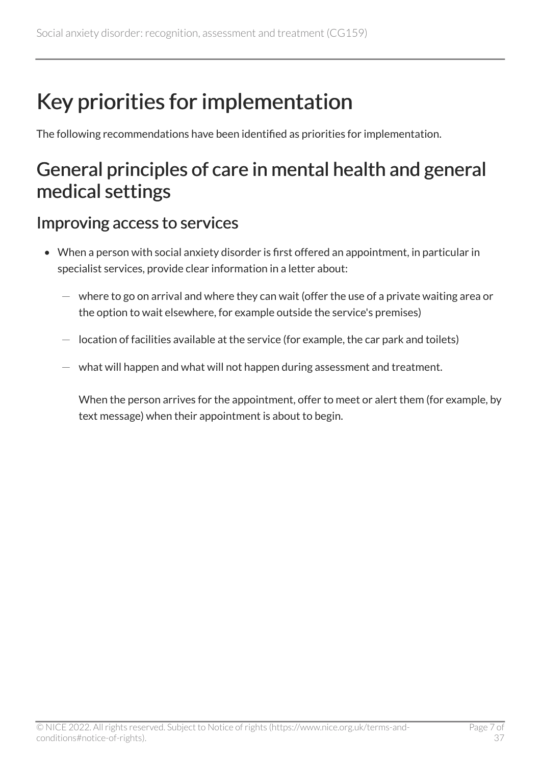## <span id="page-6-0"></span>Key priorities for implementation

The following recommendations have been identified as priorities for implementation.

## <span id="page-6-1"></span>General principles of care in mental health and general medical settings

#### Improving access to services

- When a person with social anxiety disorder is first offered an appointment, in particular in specialist services, provide clear information in a letter about:
	- $-$  where to go on arrival and where they can wait (offer the use of a private waiting area or the option to wait elsewhere, for example outside the service's premises)
	- $-$  location of facilities available at the service (for example, the car park and toilets)
	- what will happen and what will not happen during assessment and treatment.

When the person arrives for the appointment, offer to meet or alert them (for example, by text message) when their appointment is about to begin.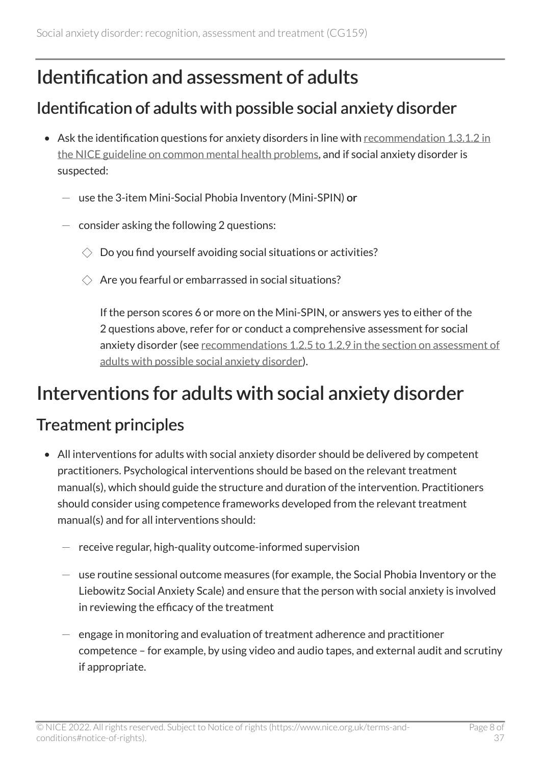## <span id="page-7-0"></span>Identification and assessment of adults

#### Identification of adults with possible social anxiety disorder

- Ask the identification questions for anxiety disorders in line with [recommendation](https://www.nice.org.uk/guidance/cg123/chapter/recommendations#step-1-identification-and-assessment)  $1.3.1.2$  in [the NICE guideline on common mental health problems,](https://www.nice.org.uk/guidance/cg123/chapter/recommendations#step-1-identification-and-assessment) and if social anxiety disorder is suspected:
	- $-$  use the 3-item Mini-Social Phobia Inventory (Mini-SPIN) or
	- $-$  consider asking the following 2 questions:
		- $\Diamond$  Do you find yourself avoiding social situations or activities?
		- $\Diamond$  Are you fearful or embarrassed in social situations?

If the person scores 6 or more on the Mini-SPIN, or answers yes to either of the 2 questions above, refer for or conduct a comprehensive assessment for social anxiety disorder (see recommendations [1.2.5 to 1.2.9 in the section on assessment of](https://www.nice.org.uk/guidance/cg159/chapter/recommendations#assessment-of-adults-with-possible-social-anxiety-disorder) [adults with possible social anxiety disorder\)](https://www.nice.org.uk/guidance/cg159/chapter/recommendations#assessment-of-adults-with-possible-social-anxiety-disorder).

## <span id="page-7-1"></span>Interventions for adults with social anxiety disorder

#### Treatment principles

- All interventions for adults with social anxiety disorder should be delivered by competent practitioners. Psychological interventions should be based on the relevant treatment manual(s), which should guide the structure and duration of the intervention. Practitioners should consider using competence frameworks developed from the relevant treatment manual(s) and for all interventions should:
	- receive regular, high-quality outcome-informed supervision
	- $-$  use routine sessional outcome measures (for example, the Social Phobia Inventory or the Liebowitz Social Anxiety Scale) and ensure that the person with social anxiety is involved in reviewing the efficacy of the treatment
	- $-$  engage in monitoring and evaluation of treatment adherence and practitioner competence – for example, by using video and audio tapes, and external audit and scrutiny if appropriate.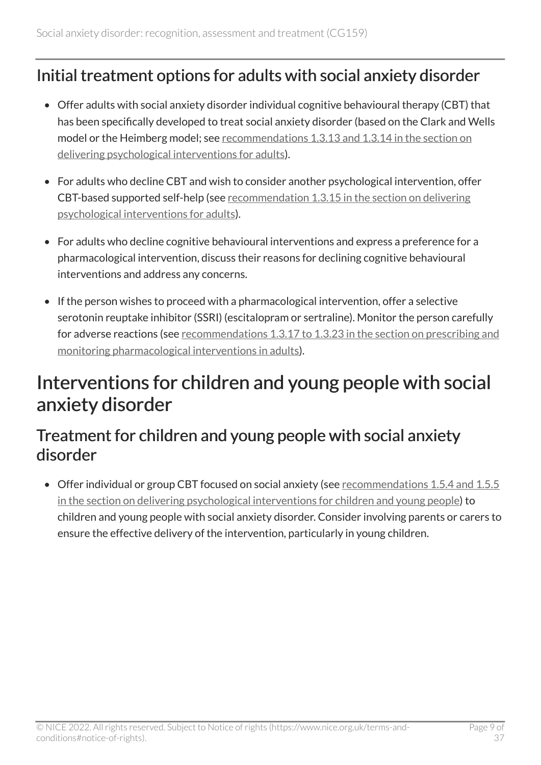#### Initial treatment options for adults with social anxiety disorder

- Offer adults with social anxiety disorder individual cognitive behavioural therapy (CBT) that has been specifically developed to treat social anxiety disorder (based on the Clark and Wells model or the Heimberg model; see recommendations [1.3.13 and 1.3.14 in the section on](https://www.nice.org.uk/guidance/cg159/chapter/recommendations#interventions-for-adults-with-social-anxiety-disorder-2) [delivering psychological interventions for adults](https://www.nice.org.uk/guidance/cg159/chapter/recommendations#interventions-for-adults-with-social-anxiety-disorder-2)).
- For adults who decline CBT and wish to consider another psychological intervention, offer CBT-based supported self-help (see recommendation [1.3.15 in the section on delivering](https://www.nice.org.uk/guidance/cg159/chapter/recommendations#interventions-for-adults-with-social-anxiety-disorder-2)  [psychological interventions for adults\)](https://www.nice.org.uk/guidance/cg159/chapter/recommendations#interventions-for-adults-with-social-anxiety-disorder-2).
- For adults who decline cognitive behavioural interventions and express a preference for a pharmacological intervention, discuss their reasons for declining cognitive behavioural interventions and address any concerns.
- If the person wishes to proceed with a pharmacological intervention, offer a selective serotonin reuptake inhibitor (SSRI) (escitalopram or sertraline). Monitor the person carefully for adverse reactions (see [recommendations 1.3.17 to 1.3.23 in the section on prescribing and](https://www.nice.org.uk/guidance/cg159/chapter/recommendations#interventions-for-adults-with-social-anxiety-disorder-2)  [monitoring pharmacological interventions in adults](https://www.nice.org.uk/guidance/cg159/chapter/recommendations#interventions-for-adults-with-social-anxiety-disorder-2)).

### <span id="page-8-0"></span>Interventions for children and young people with social anxiety disorder

#### Treatment for children and young people with social anxiety disorder

• Offer individual or group CBT focused on social anxiety (see [recommendations](https://www.nice.org.uk/guidance/cg159/chapter/recommendations#interventions-for-children-and-young-people-with-social-anxiety-disorder-2) 1.5.4 and 1.5.5 [in the section on delivering psychological interventions for children and young people\)](https://www.nice.org.uk/guidance/cg159/chapter/recommendations#interventions-for-children-and-young-people-with-social-anxiety-disorder-2) to children and young people with social anxiety disorder. Consider involving parents or carers to ensure the effective delivery of the intervention, particularly in young children.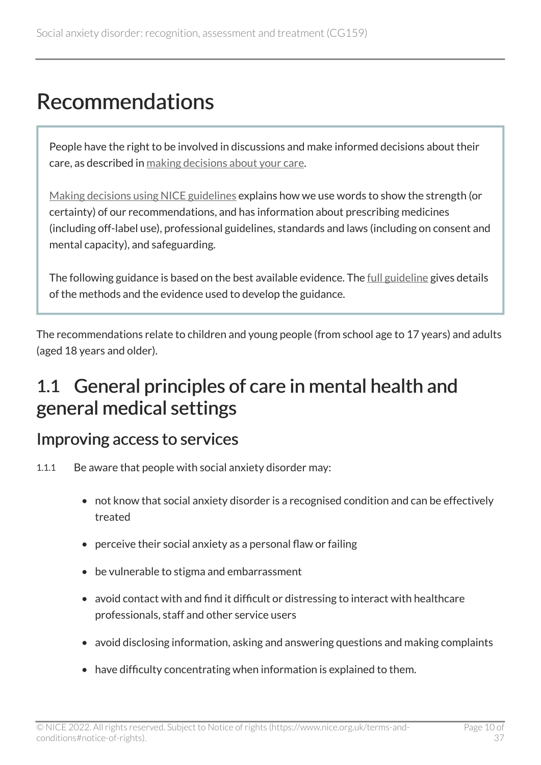## <span id="page-9-0"></span>Recommendations

People have the right to be involved in discussions and make informed decisions about their care, as described in [making decisions about your care.](https://www.nice.org.uk/about/nice-communities/nice-and-the-public/making-decisions-about-your-care)

[Making decisions using NICE guidelines](https://www.nice.org.uk/about/what-we-do/our-programmes/nice-guidance/nice-guidelines/making-decisions-using-nice-guidelines) explains how we use words to show the strength (or certainty) of our recommendations, and has information about prescribing medicines (including off-label use), professional guidelines, standards and laws (including on consent and mental capacity), and safeguarding.

The following guidance is based on the best available evidence. The [full guideline](https://www.nice.org.uk/guidance/cg159/evidence) gives details of the methods and the evidence used to develop the guidance.

The recommendations relate to children and young people (from school age to 17 years) and adults (aged 18 years and older).

### <span id="page-9-1"></span>1.1 General principles of care in mental health and general medical settings

#### Improving access to services

- 1.1.1 Be aware that people with social anxiety disorder may:
	- not know that social anxiety disorder is a recognised condition and can be effectively treated
	- perceive their social anxiety as a personal flaw or failing
	- be vulnerable to stigma and embarrassment
	- avoid contact with and find it difficult or distressing to interact with healthcare professionals, staff and other service users
	- avoid disclosing information, asking and answering questions and making complaints
	- have difficulty concentrating when information is explained to them.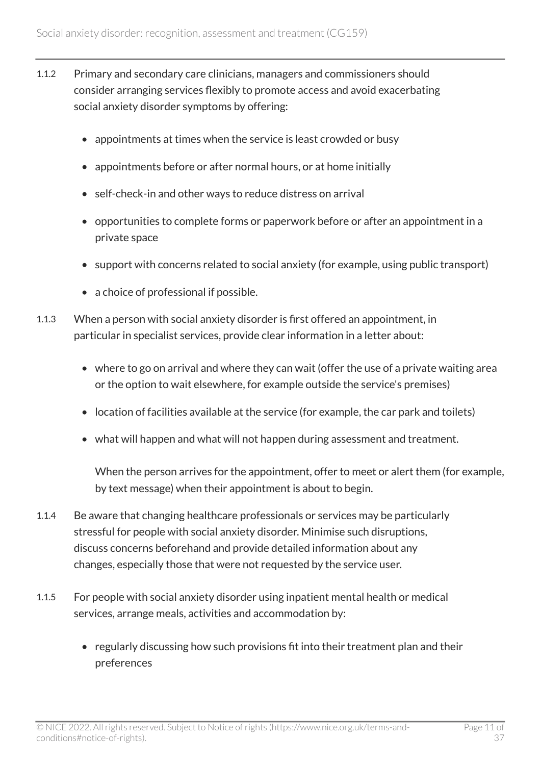- 1.1.2 Primary and secondary care clinicians, managers and commissioners should consider arranging services flexibly to promote access and avoid exacerbating social anxiety disorder symptoms by offering:
	- appointments at times when the service is least crowded or busy
	- appointments before or after normal hours, or at home initially
	- self-check-in and other ways to reduce distress on arrival
	- opportunities to complete forms or paperwork before or after an appointment in a private space
	- support with concerns related to social anxiety (for example, using public transport)
	- a choice of professional if possible.
- 1.1.3 When a person with social anxiety disorder is first offered an appointment, in particular in specialist services, provide clear information in a letter about:
	- where to go on arrival and where they can wait (offer the use of a private waiting area or the option to wait elsewhere, for example outside the service's premises)
	- location of facilities available at the service (for example, the car park and toilets)
	- what will happen and what will not happen during assessment and treatment.

When the person arrives for the appointment, offer to meet or alert them (for example, by text message) when their appointment is about to begin.

- 1.1.4 Be aware that changing healthcare professionals or services may be particularly stressful for people with social anxiety disorder. Minimise such disruptions, discuss concerns beforehand and provide detailed information about any changes, especially those that were not requested by the service user.
- 1.1.5 For people with social anxiety disorder using inpatient mental health or medical services, arrange meals, activities and accommodation by:
	- regularly discussing how such provisions fit into their treatment plan and their preferences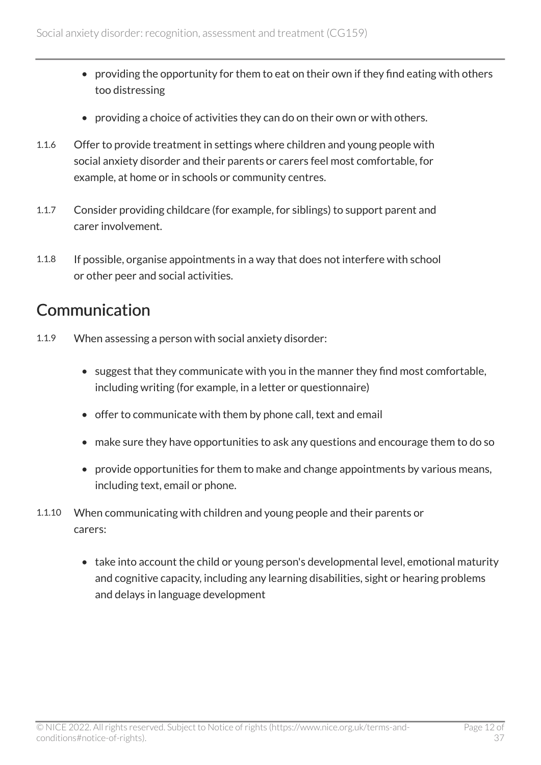- providing the opportunity for them to eat on their own if they find eating with others too distressing
- providing a choice of activities they can do on their own or with others.
- 1.1.6 Offer to provide treatment in settings where children and young people with social anxiety disorder and their parents or carers feel most comfortable, for example, at home or in schools or community centres.
- 1.1.7 Consider providing childcare (for example, for siblings) to support parent and carer involvement.
- 1.1.8 If possible, organise appointments in a way that does not interfere with school or other peer and social activities.

#### Communication

- 1.1.9 When assessing a person with social anxiety disorder:
	- suggest that they communicate with you in the manner they find most comfortable, including writing (for example, in a letter or questionnaire)
	- offer to communicate with them by phone call, text and email
	- make sure they have opportunities to ask any questions and encourage them to do so
	- provide opportunities for them to make and change appointments by various means, including text, email or phone.
- 1.1.10 When communicating with children and young people and their parents or carers:
	- take into account the child or young person's developmental level, emotional maturity and cognitive capacity, including any learning disabilities, sight or hearing problems and delays in language development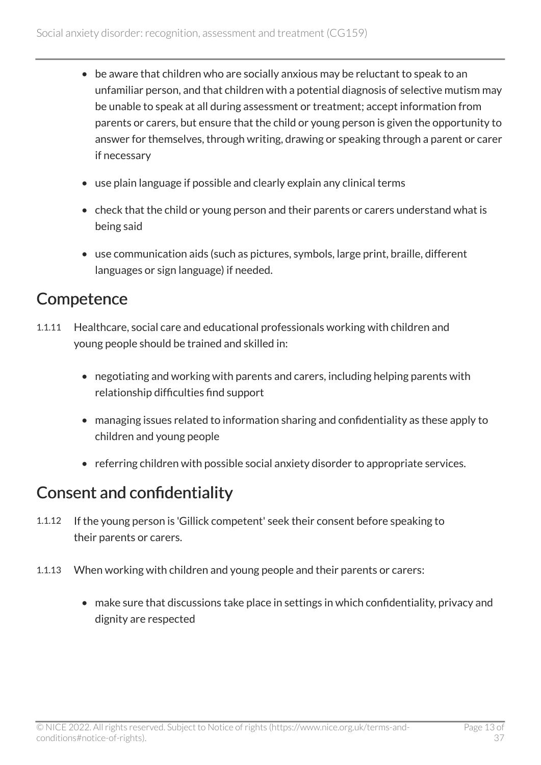- be aware that children who are socially anxious may be reluctant to speak to an unfamiliar person, and that children with a potential diagnosis of selective mutism may be unable to speak at all during assessment or treatment; accept information from parents or carers, but ensure that the child or young person is given the opportunity to answer for themselves, through writing, drawing or speaking through a parent or carer if necessary
- use plain language if possible and clearly explain any clinical terms
- check that the child or young person and their parents or carers understand what is being said
- use communication aids (such as pictures, symbols, large print, braille, different languages or sign language) if needed.

#### **Competence**

- 1.1.11 Healthcare, social care and educational professionals working with children and young people should be trained and skilled in:
	- negotiating and working with parents and carers, including helping parents with relationship difficulties find support
	- managing issues related to information sharing and confidentiality as these apply to children and young people
	- referring children with possible social anxiety disorder to appropriate services.

#### Consent and confidentiality

- 1.1.12 If the young person is 'Gillick competent' seek their consent before speaking to their parents or carers.
- 1.1.13 When working with children and young people and their parents or carers:
	- make sure that discussions take place in settings in which confidentiality, privacy and dignity are respected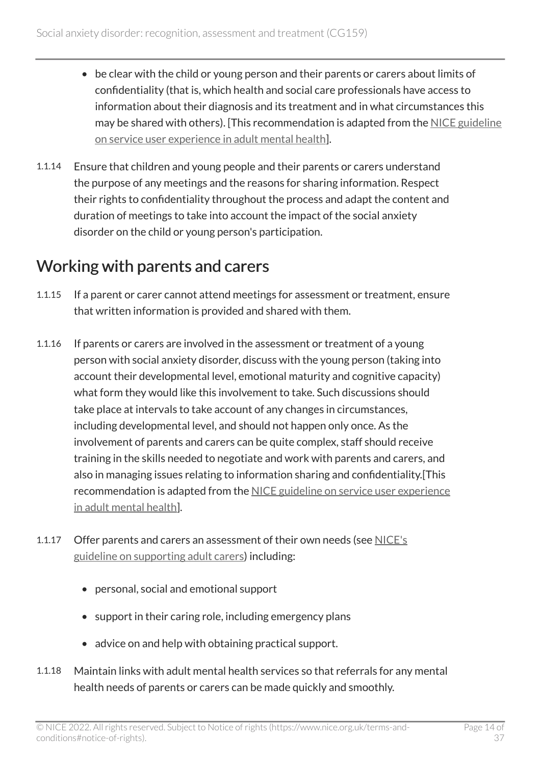- be clear with the child or young person and their parents or carers about limits of confidentiality (that is, which health and social care professionals have access to information about their diagnosis and its treatment and in what circumstances this may be shared with others). [This recommendation is adapted from the [NICE guideline](https://www.nice.org.uk/guidance/cg136) [on service user experience in adult mental health\]](https://www.nice.org.uk/guidance/cg136).
- 1.1.14 Ensure that children and young people and their parents or carers understand the purpose of any meetings and the reasons for sharing information. Respect their rights to confidentiality throughout the process and adapt the content and duration of meetings to take into account the impact of the social anxiety disorder on the child or young person's participation.

#### Working with parents and carers

- 1.1.15 If a parent or carer cannot attend meetings for assessment or treatment, ensure that written information is provided and shared with them.
- 1.1.16 If parents or carers are involved in the assessment or treatment of a young person with social anxiety disorder, discuss with the young person (taking into account their developmental level, emotional maturity and cognitive capacity) what form they would like this involvement to take. Such discussions should take place at intervals to take account of any changes in circumstances, including developmental level, and should not happen only once. As the involvement of parents and carers can be quite complex, staff should receive training in the skills needed to negotiate and work with parents and carers, and also in managing issues relating to information sharing and confidentiality.[This recommendation is adapted from the NICE guideline on service user experience [in adult mental health\]](https://www.nice.org.uk/guidance/cg136).
- 1.1.17 Offer parents and carers an assessment of their own needs (see [NICE's](https://www.nice.org.uk/guidance/ng150) [guideline on supporting adult carers\)](https://www.nice.org.uk/guidance/ng150) including:
	- personal, social and emotional support
	- support in their caring role, including emergency plans
	- advice on and help with obtaining practical support.
- 1.1.18 Maintain links with adult mental health services so that referrals for any mental health needs of parents or carers can be made quickly and smoothly.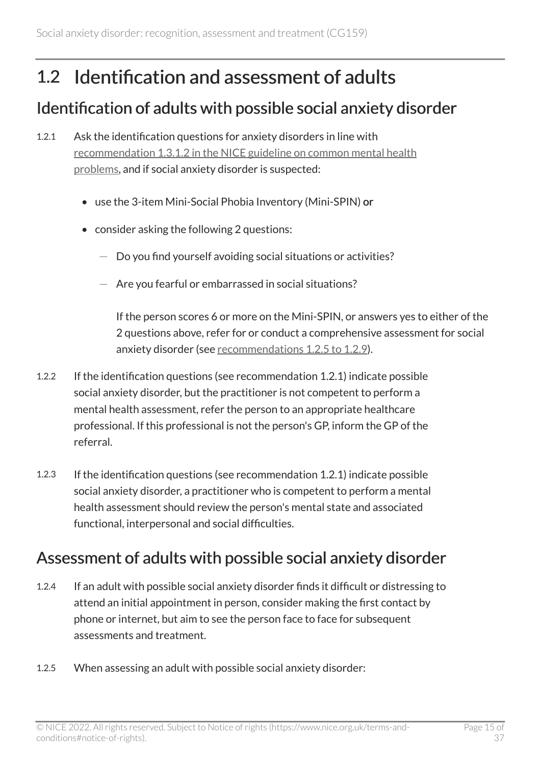## <span id="page-14-0"></span>1.2 Identification and assessment of adults

#### Identification of adults with possible social anxiety disorder

- 1.2.1 Ask the identification questions for anxiety disorders in line with recommendation [1.3.1.2 in the NICE guideline on common mental health](https://www.nice.org.uk/guidance/cg123/chapter/recommendations#step-1-identification-and-assessment)  [problems,](https://www.nice.org.uk/guidance/cg123/chapter/recommendations#step-1-identification-and-assessment) and if social anxiety disorder is suspected:
	- use the 3-item Mini-Social Phobia Inventory (Mini-SPIN) or
	- consider asking the following 2 questions:
		- $-$  Do you find yourself avoiding social situations or activities?
		- $-$  Are you fearful or embarrassed in social situations?

If the person scores 6 or more on the Mini-SPIN, or answers yes to either of the 2 questions above, refer for or conduct a comprehensive assessment for social anxiety disorder (see [recommendations](https://www.nice.org.uk/guidance/cg159/chapter/recommendations#assessment-of-adults-with-possible-social-anxiety-disorder) 1.2.5 to 1.2.9).

- 1.2.2 If the identification questions (see recommendation 1.2.1) indicate possible social anxiety disorder, but the practitioner is not competent to perform a mental health assessment, refer the person to an appropriate healthcare professional. If this professional is not the person's GP, inform the GP of the referral.
- 1.2.3 If the identification questions (see recommendation 1.2.1) indicate possible social anxiety disorder, a practitioner who is competent to perform a mental health assessment should review the person's mental state and associated functional, interpersonal and social difficulties.

#### Assessment of adults with possible social anxiety disorder

- 1.2.4 If an adult with possible social anxiety disorder finds it difficult or distressing to attend an initial appointment in person, consider making the first contact by phone or internet, but aim to see the person face to face for subsequent assessments and treatment.
- 1.2.5 When assessing an adult with possible social anxiety disorder: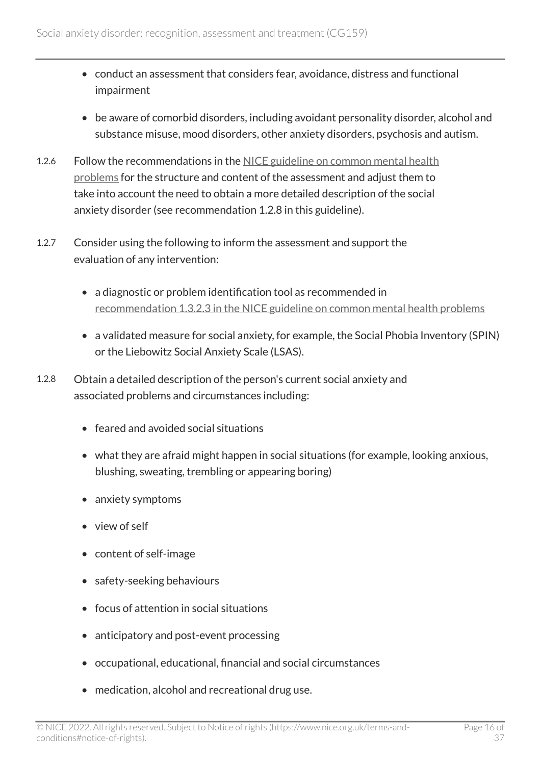- conduct an assessment that considers fear, avoidance, distress and functional impairment
- be aware of comorbid disorders, including avoidant personality disorder, alcohol and substance misuse, mood disorders, other anxiety disorders, psychosis and autism.
- 1.2.6 Follow the recommendations in the [NICE guideline on common mental health](https://www.nice.org.uk/guidance/cg123) [problems](https://www.nice.org.uk/guidance/cg123) for the structure and content of the assessment and adjust them to take into account the need to obtain a more detailed description of the social anxiety disorder (see recommendation 1.2.8 in this guideline).
- 1.2.7 Consider using the following to inform the assessment and support the evaluation of any intervention:
	- a diagnostic or problem identification tool as recommended in recommendation [1.3.2.3 in the NICE guideline on common mental health problems](https://www.nice.org.uk/guidance/cg123/chapter/recommendations#step-1-identification-and-assessment)
	- a validated measure for social anxiety, for example, the Social Phobia Inventory (SPIN) or the Liebowitz Social Anxiety Scale (LSAS).
- 1.2.8 Obtain a detailed description of the person's current social anxiety and associated problems and circumstances including:
	- feared and avoided social situations
	- what they are afraid might happen in social situations (for example, looking anxious, blushing, sweating, trembling or appearing boring)
	- anxiety symptoms
	- view of self
	- content of self-image
	- safety-seeking behaviours
	- focus of attention in social situations
	- anticipatory and post-event processing
	- occupational, educational, financial and social circumstances
	- medication, alcohol and recreational drug use.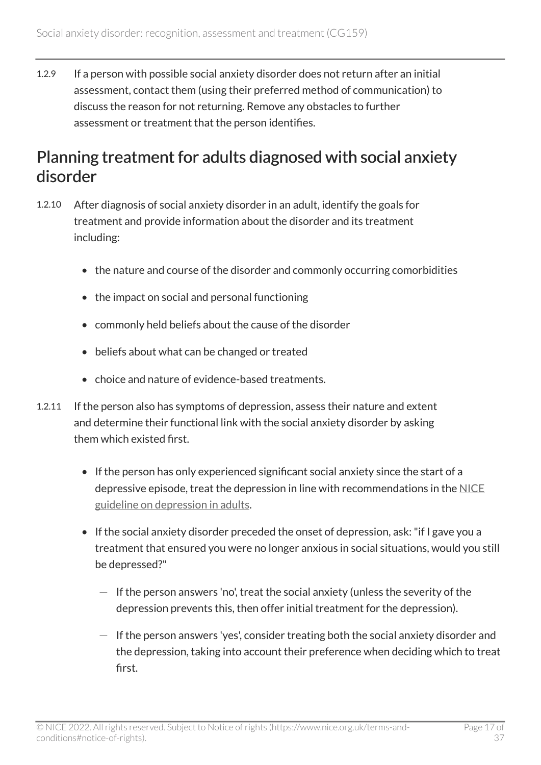1.2.9 If a person with possible social anxiety disorder does not return after an initial assessment, contact them (using their preferred method of communication) to discuss the reason for not returning. Remove any obstacles to further assessment or treatment that the person identifies.

#### Planning treatment for adults diagnosed with social anxiety disorder

- 1.2.10 After diagnosis of social anxiety disorder in an adult, identify the goals for treatment and provide information about the disorder and its treatment including:
	- the nature and course of the disorder and commonly occurring comorbidities
	- the impact on social and personal functioning
	- commonly held beliefs about the cause of the disorder
	- beliefs about what can be changed or treated
	- choice and nature of evidence-based treatments.
- 1.2.11 If the person also has symptoms of depression, assess their nature and extent and determine their functional link with the social anxiety disorder by asking them which existed first.
	- If the person has only experienced significant social anxiety since the start of a depressive episode, treat the depression in line with recommendations in the  $NICE$ [guideline on depression in adults.](https://www.nice.org.uk/guidance/cg90)
	- If the social anxiety disorder preceded the onset of depression, ask: "if I gave you a treatment that ensured you were no longer anxious in social situations, would you still be depressed?"
		- $-$  If the person answers 'no', treat the social anxiety (unless the severity of the depression prevents this, then offer initial treatment for the depression).
		- $-$  If the person answers 'yes', consider treating both the social anxiety disorder and the depression, taking into account their preference when deciding which to treat first.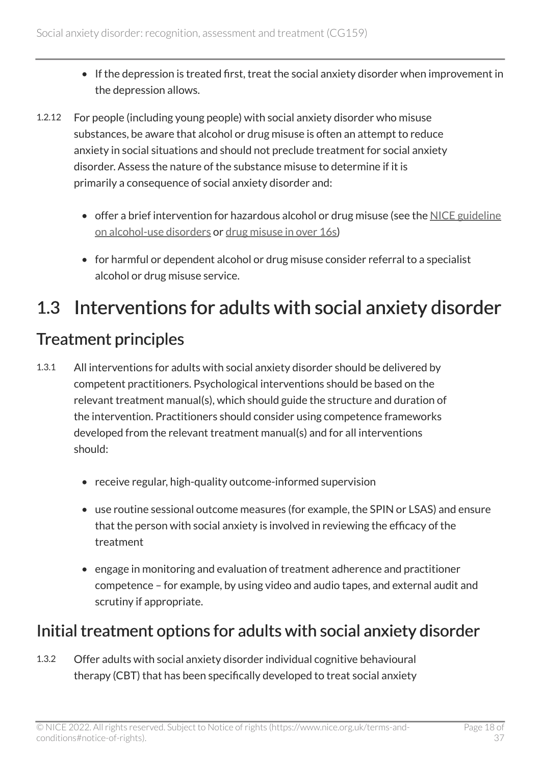- If the depression is treated first, treat the social anxiety disorder when improvement in the depression allows.
- 1.2.12 For people (including young people) with social anxiety disorder who misuse substances, be aware that alcohol or drug misuse is often an attempt to reduce anxiety in social situations and should not preclude treatment for social anxiety disorder. Assess the nature of the substance misuse to determine if it is primarily a consequence of social anxiety disorder and:
	- offer a brief intervention for hazardous alcohol or drug misuse (see the [NICE guideline](https://www.nice.org.uk/guidance/cg115)  [on alcohol-use disorders](https://www.nice.org.uk/guidance/cg115) or [drug misuse in over 16s\)](https://www.nice.org.uk/guidance/cg51)
	- for harmful or dependent alcohol or drug misuse consider referral to a specialist alcohol or drug misuse service.

## <span id="page-17-0"></span>1.3 Interventions for adults with social anxiety disorder

#### Treatment principles

- 1.3.1 All interventions for adults with social anxiety disorder should be delivered by competent practitioners. Psychological interventions should be based on the relevant treatment manual(s), which should guide the structure and duration of the intervention. Practitioners should consider using competence frameworks developed from the relevant treatment manual(s) and for all interventions should:
	- receive regular, high-quality outcome-informed supervision
	- use routine sessional outcome measures (for example, the SPIN or LSAS) and ensure that the person with social anxiety is involved in reviewing the efficacy of the treatment
	- engage in monitoring and evaluation of treatment adherence and practitioner competence – for example, by using video and audio tapes, and external audit and scrutiny if appropriate.

#### Initial treatment options for adults with social anxiety disorder

1.3.2 Offer adults with social anxiety disorder individual cognitive behavioural therapy (CBT) that has been specifically developed to treat social anxiety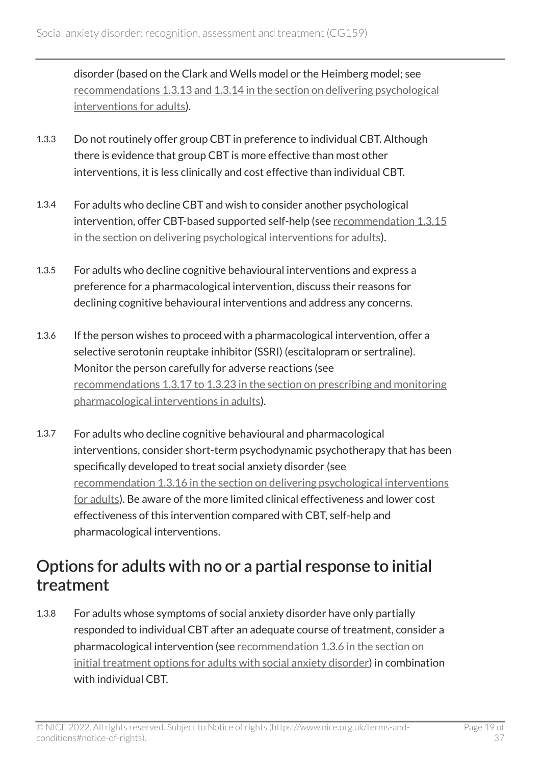disorder (based on the Clark and Wells model or the Heimberg model; see recommendations [1.3.13 and 1.3.14 in the section on delivering psychological](https://www.nice.org.uk/guidance/cg159/chapter/recommendations#delivering-psychological-interventions-for-adults) [interventions for adults](https://www.nice.org.uk/guidance/cg159/chapter/recommendations#delivering-psychological-interventions-for-adults)).

- 1.3.3 Do not routinely offer group CBT in preference to individual CBT. Although there is evidence that group CBT is more effective than most other interventions, it is less clinically and cost effective than individual CBT.
- 1.3.4 For adults who decline CBT and wish to consider another psychological intervention, offer CBT-based supported self-help (see [recommendation](https://www.nice.org.uk/guidance/cg159/chapter/recommendations#delivering-psychological-interventions-for-adults) 1.3.15 [in the section on delivering psychological interventions for adults](https://www.nice.org.uk/guidance/cg159/chapter/recommendations#delivering-psychological-interventions-for-adults)).
- 1.3.5 For adults who decline cognitive behavioural interventions and express a preference for a pharmacological intervention, discuss their reasons for declining cognitive behavioural interventions and address any concerns.
- 1.3.6 If the person wishes to proceed with a pharmacological intervention, offer a selective serotonin reuptake inhibitor (SSRI) (escitalopram or sertraline). Monitor the person carefully for adverse reactions (see recommendations [1.3.17 to 1.3.23 in the section on prescribing and monitoring](https://www.nice.org.uk/guidance/cg159/chapter/recommendations#prescribing-and-monitoring-pharmacological-interventions-in-adults)  [pharmacological interventions in adults\)](https://www.nice.org.uk/guidance/cg159/chapter/recommendations#prescribing-and-monitoring-pharmacological-interventions-in-adults).
- 1.3.7 For adults who decline cognitive behavioural and pharmacological interventions, consider short-term psychodynamic psychotherapy that has been specifically developed to treat social anxiety disorder (see recommendation [1.3.16 in the section on delivering psychological interventions](https://www.nice.org.uk/guidance/cg159/chapter/recommendations#delivering-psychological-interventions-for-adults)  [for adults](https://www.nice.org.uk/guidance/cg159/chapter/recommendations#delivering-psychological-interventions-for-adults)). Be aware of the more limited clinical effectiveness and lower cost effectiveness of this intervention compared with CBT, self-help and pharmacological interventions.

#### Options for adults with no or a partial response to initial treatment

1.3.8 For adults whose symptoms of social anxiety disorder have only partially responded to individual CBT after an adequate course of treatment, consider a pharmacological intervention (see [recommendation 1.3.6 in the section on](https://www.nice.org.uk/guidance/cg159/chapter/recommendations#initial-treatment-options-for-adults-with-social-anxiety-disorder-2)  [initial treatment options for adults with social anxiety disorder](https://www.nice.org.uk/guidance/cg159/chapter/recommendations#initial-treatment-options-for-adults-with-social-anxiety-disorder-2)) in combination with individual CBT.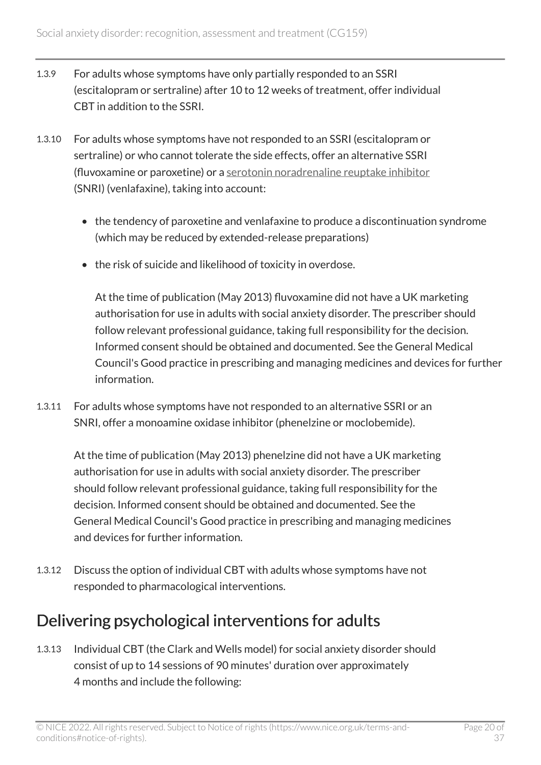- 1.3.9 For adults whose symptoms have only partially responded to an SSRI (escitalopram or sertraline) after 10 to 12 weeks of treatment, offer individual CBT in addition to the SSRI.
- 1.3.10 For adults whose symptoms have not responded to an SSRI (escitalopram or sertraline) or who cannot tolerate the side effects, offer an alternative SSRI (fluvoxamine or paroxetine) or a [serotonin noradrenaline reuptake inhibitor](http://en.wikipedia.org/wiki/Serotonin%E2%80%93norepinephrine_reuptake_inhibitor) (SNRI) (venlafaxine), taking into account:
	- the tendency of paroxetine and venlafaxine to produce a discontinuation syndrome (which may be reduced by extended-release preparations)
	- the risk of suicide and likelihood of toxicity in overdose.

At the time of publication (May 2013) fluvoxamine did not have a UK marketing authorisation for use in adults with social anxiety disorder. The prescriber should follow relevant professional guidance, taking full responsibility for the decision. Informed consent should be obtained and documented. See the General Medical Council's Good practice in prescribing and managing medicines and devices for further information.

1.3.11 For adults whose symptoms have not responded to an alternative SSRI or an SNRI, offer a monoamine oxidase inhibitor (phenelzine or moclobemide).

At the time of publication (May 2013) phenelzine did not have a UK marketing authorisation for use in adults with social anxiety disorder. The prescriber should follow relevant professional guidance, taking full responsibility for the decision. Informed consent should be obtained and documented. See the General Medical Council's Good practice in prescribing and managing medicines and devices for further information.

1.3.12 Discuss the option of individual CBT with adults whose symptoms have not responded to pharmacological interventions.

#### Delivering psychological interventions for adults

1.3.13 Individual CBT (the Clark and Wells model) for social anxiety disorder should consist of up to 14 sessions of 90 minutes' duration over approximately 4 months and include the following: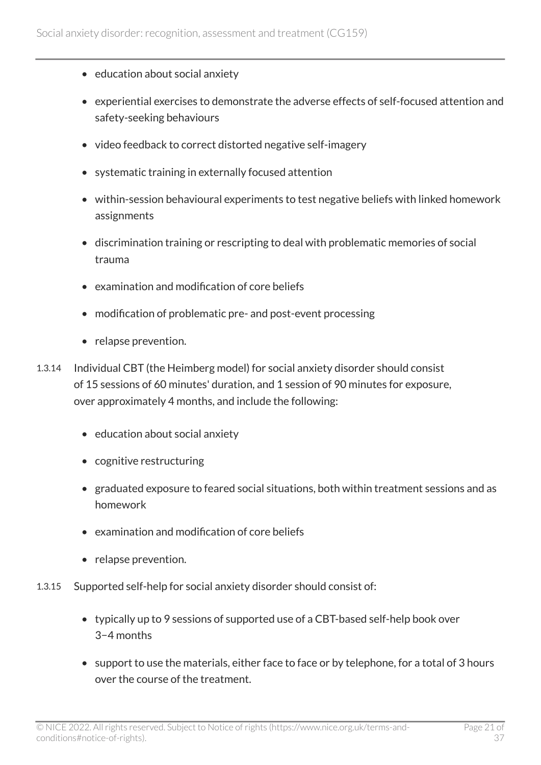- education about social anxiety
- experiential exercises to demonstrate the adverse effects of self-focused attention and safety-seeking behaviours
- video feedback to correct distorted negative self-imagery
- systematic training in externally focused attention
- within-session behavioural experiments to test negative beliefs with linked homework assignments
- discrimination training or rescripting to deal with problematic memories of social trauma
- examination and modification of core beliefs
- modification of problematic pre- and post-event processing
- relapse prevention.
- 1.3.14 Individual CBT (the Heimberg model) for social anxiety disorder should consist of 15 sessions of 60 minutes' duration, and 1 session of 90 minutes for exposure, over approximately 4 months, and include the following:
	- education about social anxiety
	- cognitive restructuring
	- graduated exposure to feared social situations, both within treatment sessions and as homework
	- examination and modification of core beliefs
	- relapse prevention.
- 1.3.15 Supported self-help for social anxiety disorder should consist of:
	- typically up to 9 sessions of supported use of a CBT-based self-help book over 3−4 months
	- support to use the materials, either face to face or by telephone, for a total of 3 hours over the course of the treatment.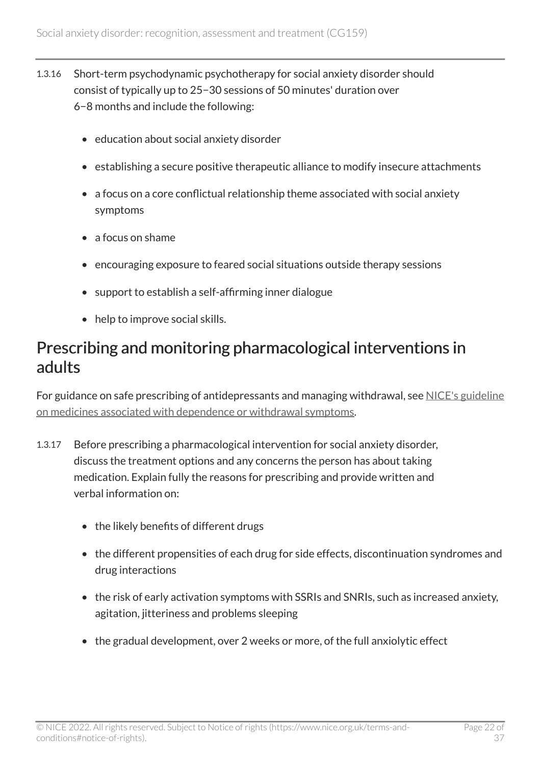- 1.3.16 Short-term psychodynamic psychotherapy for social anxiety disorder should consist of typically up to 25−30 sessions of 50 minutes' duration over 6−8 months and include the following:
	- education about social anxiety disorder
	- establishing a secure positive therapeutic alliance to modify insecure attachments
	- a focus on a core conflictual relationship theme associated with social anxiety symptoms
	- a focus on shame
	- encouraging exposure to feared social situations outside therapy sessions
	- support to establish a self-affirming inner dialogue
	- help to improve social skills.

#### Prescribing and monitoring pharmacological interventions in adults

For guidance on safe prescribing of antidepressants and managing withdrawal, see [NICE's guideline](https://www.nice.org.uk/guidance/ng215)  [on medicines associated with dependence or withdrawal symptoms.](https://www.nice.org.uk/guidance/ng215)

- 1.3.17 Before prescribing a pharmacological intervention for social anxiety disorder, discuss the treatment options and any concerns the person has about taking medication. Explain fully the reasons for prescribing and provide written and verbal information on:
	- the likely benefits of different drugs
	- the different propensities of each drug for side effects, discontinuation syndromes and drug interactions
	- the risk of early activation symptoms with SSRIs and SNRIs, such as increased anxiety, agitation, jitteriness and problems sleeping
	- the gradual development, over 2 weeks or more, of the full anxiolytic effect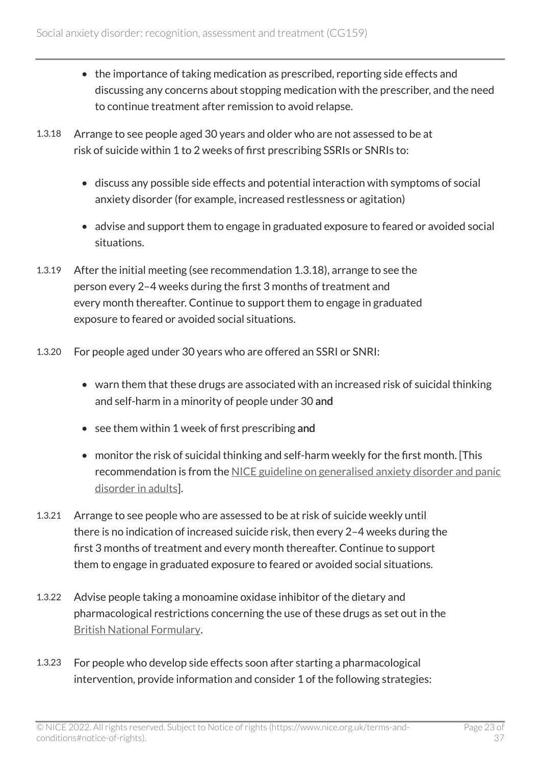- the importance of taking medication as prescribed, reporting side effects and discussing any concerns about stopping medication with the prescriber, and the need to continue treatment after remission to avoid relapse.
- 1.3.18 Arrange to see people aged 30 years and older who are not assessed to be at risk of suicide within 1 to 2 weeks of first prescribing SSRIs or SNRIs to:
	- discuss any possible side effects and potential interaction with symptoms of social anxiety disorder (for example, increased restlessness or agitation)
	- advise and support them to engage in graduated exposure to feared or avoided social situations.
- 1.3.19 After the initial meeting (see recommendation 1.3.18), arrange to see the person every 2–4 weeks during the first 3 months of treatment and every month thereafter. Continue to support them to engage in graduated exposure to feared or avoided social situations.
- 1.3.20 For people aged under 30 years who are offered an SSRI or SNRI:
	- warn them that these drugs are associated with an increased risk of suicidal thinking and self-harm in a minority of people under 30 and
	- see them within 1 week of first prescribing and
	- monitor the risk of suicidal thinking and self-harm weekly for the first month. [This recommendation is from the [NICE guideline on generalised anxiety disorder and panic](https://www.nice.org.uk/guidance/cg113) [disorder in adults\]](https://www.nice.org.uk/guidance/cg113).
- 1.3.21 Arrange to see people who are assessed to be at risk of suicide weekly until there is no indication of increased suicide risk, then every 2–4 weeks during the first 3 months of treatment and every month thereafter. Continue to support them to engage in graduated exposure to feared or avoided social situations.
- 1.3.22 Advise people taking a monoamine oxidase inhibitor of the dietary and pharmacological restrictions concerning the use of these drugs as set out in the [British National Formulary.](http://www.bnf.org/bnf/index.htm)
- 1.3.23 For people who develop side effects soon after starting a pharmacological intervention, provide information and consider 1 of the following strategies: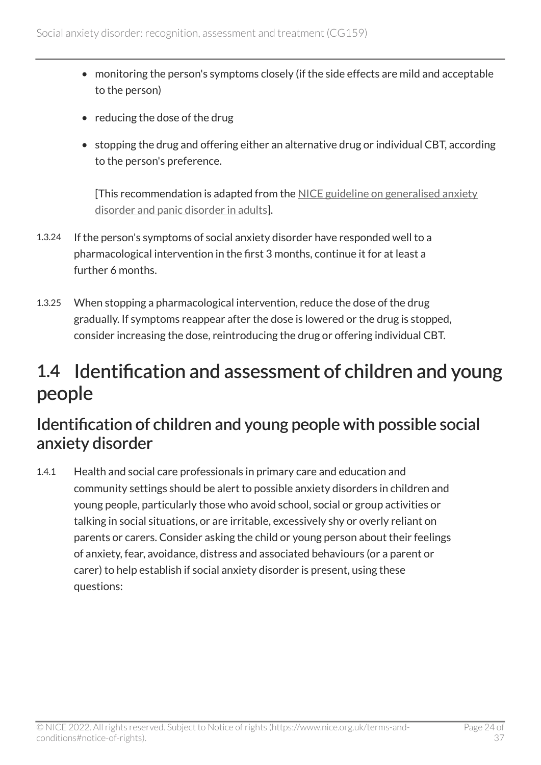- monitoring the person's symptoms closely (if the side effects are mild and acceptable to the person)
- reducing the dose of the drug
- stopping the drug and offering either an alternative drug or individual CBT, according to the person's preference.

[This recommendation is adapted from the [NICE guideline on generalised anxiety](https://www.nice.org.uk/guidance/cg113)  [disorder and panic disorder in adults](https://www.nice.org.uk/guidance/cg113)].

- 1.3.24 If the person's symptoms of social anxiety disorder have responded well to a pharmacological intervention in the first 3 months, continue it for at least a further 6 months.
- 1.3.25 When stopping a pharmacological intervention, reduce the dose of the drug gradually. If symptoms reappear after the dose is lowered or the drug is stopped, consider increasing the dose, reintroducing the drug or offering individual CBT.

### <span id="page-23-0"></span>1.4 Identification and assessment of children and young people

#### Identification of children and young people with possible social anxiety disorder

1.4.1 Health and social care professionals in primary care and education and community settings should be alert to possible anxiety disorders in children and young people, particularly those who avoid school, social or group activities or talking in social situations, or are irritable, excessively shy or overly reliant on parents or carers. Consider asking the child or young person about their feelings of anxiety, fear, avoidance, distress and associated behaviours (or a parent or carer) to help establish if social anxiety disorder is present, using these questions: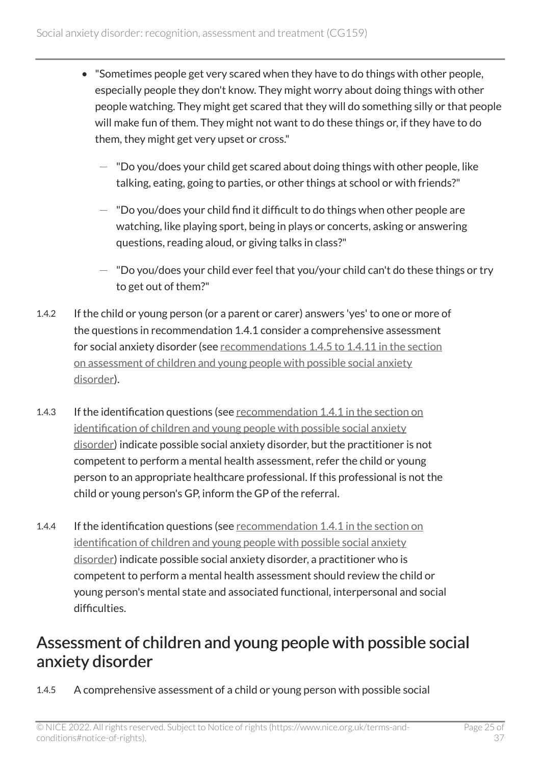- "Sometimes people get very scared when they have to do things with other people, especially people they don't know. They might worry about doing things with other people watching. They might get scared that they will do something silly or that people will make fun of them. They might not want to do these things or, if they have to do them, they might get very upset or cross."
	- $-$  "Do you/does your child get scared about doing things with other people, like talking, eating, going to parties, or other things at school or with friends?"
	- $-$  "Do you/does your child find it difficult to do things when other people are watching, like playing sport, being in plays or concerts, asking or answering questions, reading aloud, or giving talks in class?"
	- $-$  "Do you/does your child ever feel that you/your child can't do these things or try to get out of them?"
- 1.4.2 If the child or young person (or a parent or carer) answers 'yes' to one or more of the questions in recommendation 1.4.1 consider a comprehensive assessment for social anxiety disorder (see recommendations [1.4.5 to 1.4.11 in the section](https://www.nice.org.uk/guidance/cg159/chapter/recommendations#assessment-of-children-and-young-people-with-possible-social-anxiety-disorder)  [on assessment of children and young people with possible social anxiety](https://www.nice.org.uk/guidance/cg159/chapter/recommendations#assessment-of-children-and-young-people-with-possible-social-anxiety-disorder)  [disorder\)](https://www.nice.org.uk/guidance/cg159/chapter/recommendations#assessment-of-children-and-young-people-with-possible-social-anxiety-disorder).
- 1.4.3 If the identification questions (see recommendation 1.4.1 in the section on [identification of children and young people with possible social anxiety](https://www.nice.org.uk/guidance/cg159/chapter/recommendations#identification-and-assessment-of-children-and-young-people) [disorder\)](https://www.nice.org.uk/guidance/cg159/chapter/recommendations#identification-and-assessment-of-children-and-young-people) indicate possible social anxiety disorder, but the practitioner is not competent to perform a mental health assessment, refer the child or young person to an appropriate healthcare professional. If this professional is not the child or young person's GP, inform the GP of the referral.
- 1.4.4 If the identification questions (see recommendation 1.4.1 in the section on [identification of children and young people with possible social anxiety](https://www.nice.org.uk/guidance/cg159/chapter/recommendations#identification-and-assessment-of-children-and-young-people) [disorder\)](https://www.nice.org.uk/guidance/cg159/chapter/recommendations#identification-and-assessment-of-children-and-young-people) indicate possible social anxiety disorder, a practitioner who is competent to perform a mental health assessment should review the child or young person's mental state and associated functional, interpersonal and social difficulties.

#### Assessment of children and young people with possible social anxiety disorder

1.4.5 A comprehensive assessment of a child or young person with possible social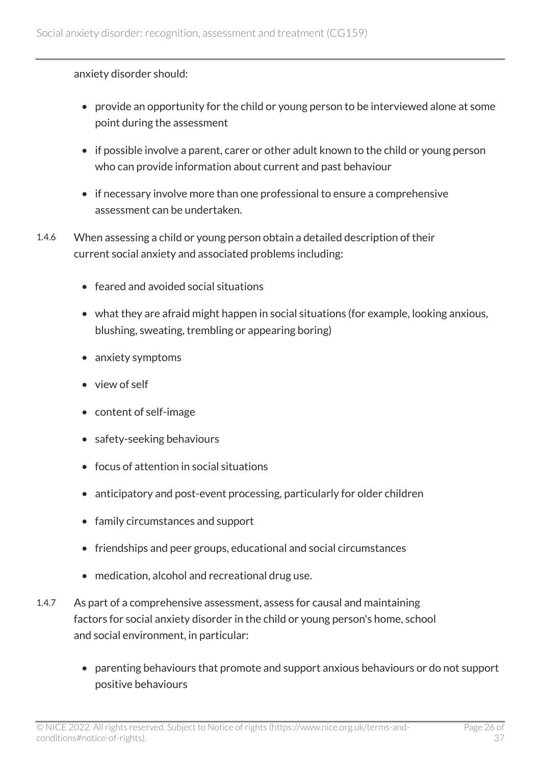anxiety disorder should:

- provide an opportunity for the child or young person to be interviewed alone at some point during the assessment
- if possible involve a parent, carer or other adult known to the child or young person who can provide information about current and past behaviour
- if necessary involve more than one professional to ensure a comprehensive assessment can be undertaken.
- 1.4.6 When assessing a child or young person obtain a detailed description of their current social anxiety and associated problems including:
	- feared and avoided social situations
	- what they are afraid might happen in social situations (for example, looking anxious, blushing, sweating, trembling or appearing boring)
	- anxiety symptoms
	- view of self
	- content of self-image
	- safety-seeking behaviours
	- focus of attention in social situations
	- anticipatory and post-event processing, particularly for older children
	- family circumstances and support
	- friendships and peer groups, educational and social circumstances
	- medication, alcohol and recreational drug use.
- 1.4.7 As part of a comprehensive assessment, assess for causal and maintaining factors for social anxiety disorder in the child or young person's home, school and social environment, in particular:
	- parenting behaviours that promote and support anxious behaviours or do not support positive behaviours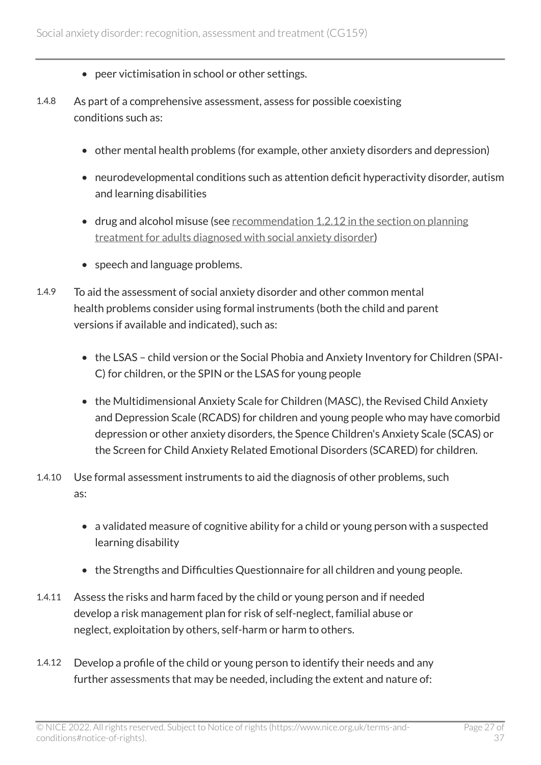- peer victimisation in school or other settings.
- 1.4.8 As part of a comprehensive assessment, assess for possible coexisting conditions such as:
	- other mental health problems (for example, other anxiety disorders and depression)
	- neurodevelopmental conditions such as attention deficit hyperactivity disorder, autism and learning disabilities
	- drug and alcohol misuse (see recommendation [1.2.12 in the section on planning](https://www.nice.org.uk/guidance/cg159/chapter/recommendations#planning-treatment-for-adults-diagnosed-with-social-anxiety-disorder)  [treatment for adults diagnosed with social anxiety disorder\)](https://www.nice.org.uk/guidance/cg159/chapter/recommendations#planning-treatment-for-adults-diagnosed-with-social-anxiety-disorder)
	- speech and language problems.
- 1.4.9 To aid the assessment of social anxiety disorder and other common mental health problems consider using formal instruments (both the child and parent versions if available and indicated), such as:
	- the LSAS child version or the Social Phobia and Anxiety Inventory for Children (SPAI-C) for children, or the SPIN or the LSAS for young people
	- the Multidimensional Anxiety Scale for Children (MASC), the Revised Child Anxiety and Depression Scale (RCADS) for children and young people who may have comorbid depression or other anxiety disorders, the Spence Children's Anxiety Scale (SCAS) or the Screen for Child Anxiety Related Emotional Disorders (SCARED) for children.
- 1.4.10 Use formal assessment instruments to aid the diagnosis of other problems, such as:
	- a validated measure of cognitive ability for a child or young person with a suspected learning disability
	- the Strengths and Difficulties Questionnaire for all children and young people.
- 1.4.11 Assess the risks and harm faced by the child or young person and if needed develop a risk management plan for risk of self-neglect, familial abuse or neglect, exploitation by others, self-harm or harm to others.
- 1.4.12 Develop a profile of the child or young person to identify their needs and any further assessments that may be needed, including the extent and nature of: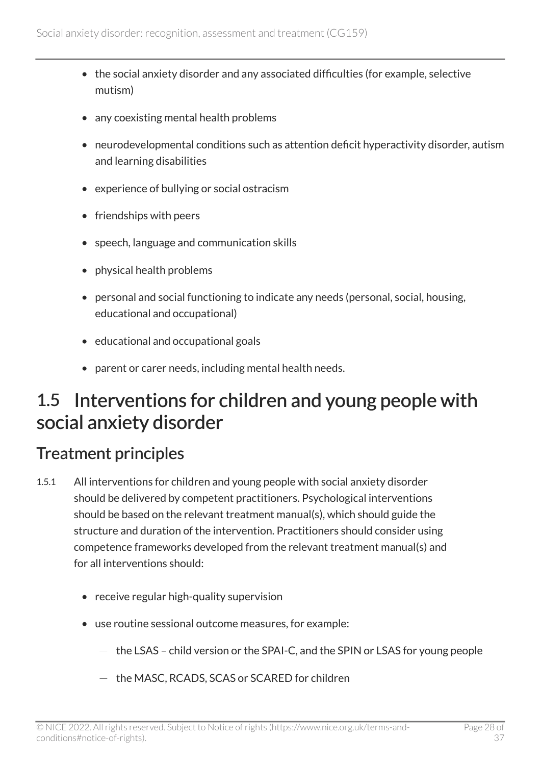- the social anxiety disorder and any associated difficulties (for example, selective mutism)
- any coexisting mental health problems
- neurodevelopmental conditions such as attention deficit hyperactivity disorder, autism and learning disabilities
- experience of bullying or social ostracism
- friendships with peers
- speech, language and communication skills
- physical health problems
- personal and social functioning to indicate any needs (personal, social, housing, educational and occupational)
- educational and occupational goals
- parent or carer needs, including mental health needs.

### <span id="page-27-0"></span>1.5 Interventions for children and young people with social anxiety disorder

#### Treatment principles

- 1.5.1 All interventions for children and young people with social anxiety disorder should be delivered by competent practitioners. Psychological interventions should be based on the relevant treatment manual(s), which should guide the structure and duration of the intervention. Practitioners should consider using competence frameworks developed from the relevant treatment manual(s) and for all interventions should:
	- receive regular high-quality supervision
	- use routine sessional outcome measures, for example:
		- $-$  the LSAS child version or the SPAI-C, and the SPIN or LSAS for young people
		- the MASC, RCADS, SCAS or SCARED for children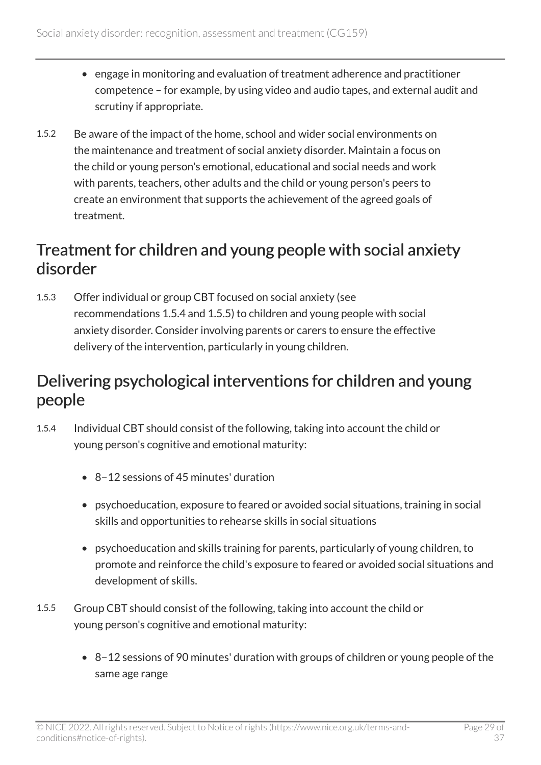- engage in monitoring and evaluation of treatment adherence and practitioner competence – for example, by using video and audio tapes, and external audit and scrutiny if appropriate.
- 1.5.2 Be aware of the impact of the home, school and wider social environments on the maintenance and treatment of social anxiety disorder. Maintain a focus on the child or young person's emotional, educational and social needs and work with parents, teachers, other adults and the child or young person's peers to create an environment that supports the achievement of the agreed goals of treatment.

#### Treatment for children and young people with social anxiety disorder

1.5.3 Offer individual or group CBT focused on social anxiety (see recommendations 1.5.4 and 1.5.5) to children and young people with social anxiety disorder. Consider involving parents or carers to ensure the effective delivery of the intervention, particularly in young children.

#### Delivering psychological interventions for children and young people

- 1.5.4 Individual CBT should consist of the following, taking into account the child or young person's cognitive and emotional maturity:
	- 8−12 sessions of 45 minutes' duration
	- psychoeducation, exposure to feared or avoided social situations, training in social skills and opportunities to rehearse skills in social situations
	- psychoeducation and skills training for parents, particularly of young children, to promote and reinforce the child's exposure to feared or avoided social situations and development of skills.
- 1.5.5 Group CBT should consist of the following, taking into account the child or young person's cognitive and emotional maturity:
	- 8−12 sessions of 90 minutes' duration with groups of children or young people of the same age range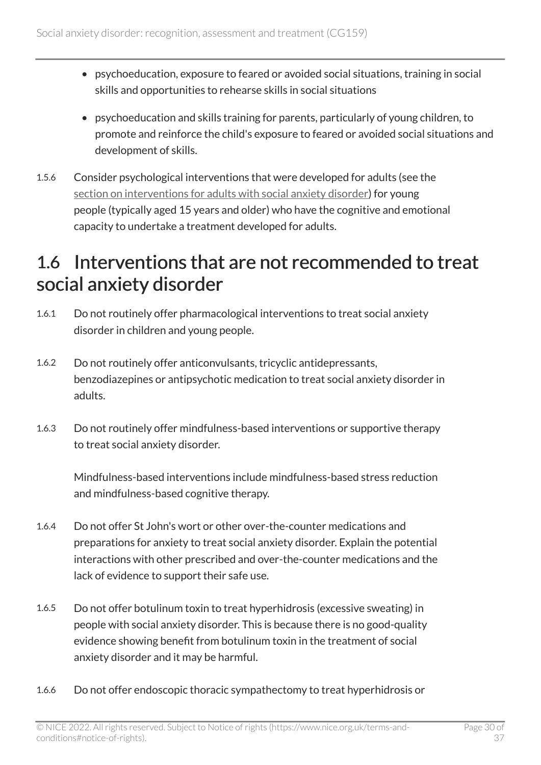- psychoeducation, exposure to feared or avoided social situations, training in social skills and opportunities to rehearse skills in social situations
- psychoeducation and skills training for parents, particularly of young children, to promote and reinforce the child's exposure to feared or avoided social situations and development of skills.
- 1.5.6 Consider psychological interventions that were developed for adults (see the [section on interventions for adults with social anxiety disorder\)](https://www.nice.org.uk/guidance/cg159/chapter/recommendations#interventions-for-adults-with-social-anxiety-disorder-2) for young people (typically aged 15 years and older) who have the cognitive and emotional capacity to undertake a treatment developed for adults.

## <span id="page-29-0"></span>1.6 Interventions that are not recommended to treat social anxiety disorder

- 1.6.1 Do not routinely offer pharmacological interventions to treat social anxiety disorder in children and young people.
- 1.6.2 Do not routinely offer anticonvulsants, tricyclic antidepressants, benzodiazepines or antipsychotic medication to treat social anxiety disorder in adults.
- 1.6.3 Do not routinely offer mindfulness-based interventions or supportive therapy to treat social anxiety disorder.

Mindfulness-based interventions include mindfulness-based stress reduction and mindfulness-based cognitive therapy.

- 1.6.4 Do not offer St John's wort or other over-the-counter medications and preparations for anxiety to treat social anxiety disorder. Explain the potential interactions with other prescribed and over-the-counter medications and the lack of evidence to support their safe use.
- 1.6.5 Do not offer botulinum toxin to treat hyperhidrosis (excessive sweating) in people with social anxiety disorder. This is because there is no good-quality evidence showing benefit from botulinum toxin in the treatment of social anxiety disorder and it may be harmful.
- 1.6.6 Do not offer endoscopic thoracic sympathectomy to treat hyperhidrosis or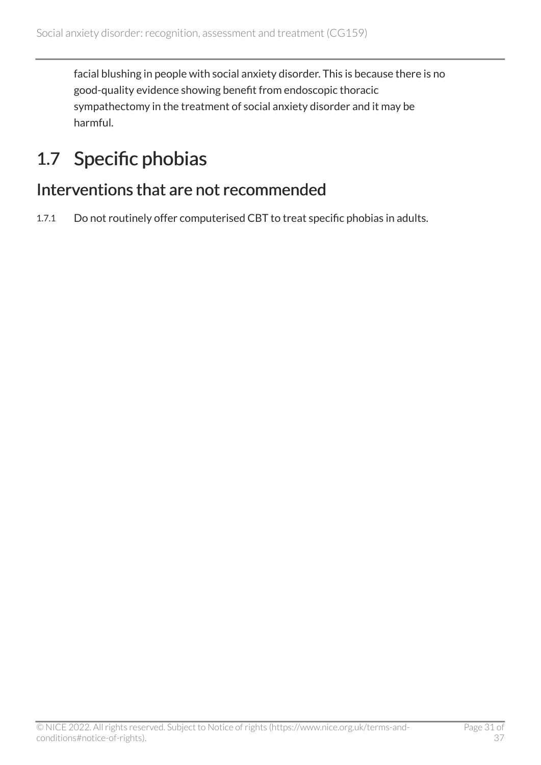facial blushing in people with social anxiety disorder. This is because there is no good-quality evidence showing benefit from endoscopic thoracic sympathectomy in the treatment of social anxiety disorder and it may be harmful.

## <span id="page-30-0"></span>1.7 Specific phobias

#### Interventions that are not recommended

1.7.1 Do not routinely offer computerised CBT to treat specific phobias in adults.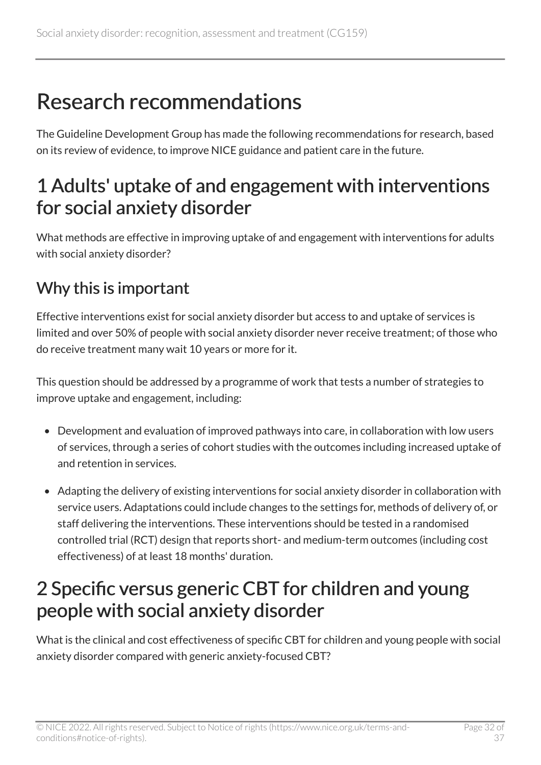## <span id="page-31-0"></span>Research recommendations

The Guideline Development Group has made the following recommendations for research, based on its review of evidence, to improve NICE guidance and patient care in the future.

### <span id="page-31-1"></span>1 Adults' uptake of and engagement with interventions for social anxiety disorder

What methods are effective in improving uptake of and engagement with interventions for adults with social anxiety disorder?

### Why this is important

Effective interventions exist for social anxiety disorder but access to and uptake of services is limited and over 50% of people with social anxiety disorder never receive treatment; of those who do receive treatment many wait 10 years or more for it.

This question should be addressed by a programme of work that tests a number of strategies to improve uptake and engagement, including:

- Development and evaluation of improved pathways into care, in collaboration with low users of services, through a series of cohort studies with the outcomes including increased uptake of and retention in services.
- Adapting the delivery of existing interventions for social anxiety disorder in collaboration with service users. Adaptations could include changes to the settings for, methods of delivery of, or staff delivering the interventions. These interventions should be tested in a randomised controlled trial (RCT) design that reports short- and medium-term outcomes (including cost effectiveness) of at least 18 months' duration.

## <span id="page-31-2"></span>2 Specific versus generic CBT for children and young people with social anxiety disorder

What is the clinical and cost effectiveness of specific CBT for children and young people with social anxiety disorder compared with generic anxiety-focused CBT?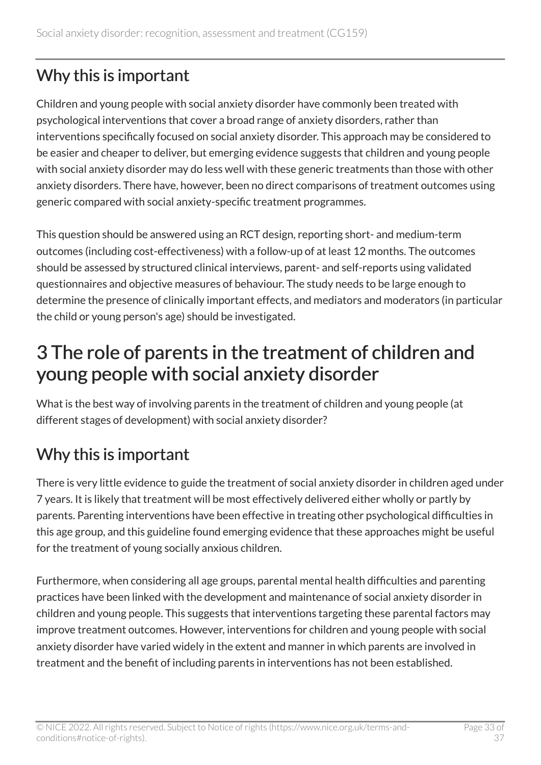#### Why this is important

Children and young people with social anxiety disorder have commonly been treated with psychological interventions that cover a broad range of anxiety disorders, rather than interventions specifically focused on social anxiety disorder. This approach may be considered to be easier and cheaper to deliver, but emerging evidence suggests that children and young people with social anxiety disorder may do less well with these generic treatments than those with other anxiety disorders. There have, however, been no direct comparisons of treatment outcomes using generic compared with social anxiety-specific treatment programmes.

This question should be answered using an RCT design, reporting short- and medium-term outcomes (including cost-effectiveness) with a follow-up of at least 12 months. The outcomes should be assessed by structured clinical interviews, parent- and self-reports using validated questionnaires and objective measures of behaviour. The study needs to be large enough to determine the presence of clinically important effects, and mediators and moderators (in particular the child or young person's age) should be investigated.

### <span id="page-32-0"></span>3 The role of parents in the treatment of children and young people with social anxiety disorder

What is the best way of involving parents in the treatment of children and young people (at different stages of development) with social anxiety disorder?

#### Why this is important

There is very little evidence to guide the treatment of social anxiety disorder in children aged under 7 years. It is likely that treatment will be most effectively delivered either wholly or partly by parents. Parenting interventions have been effective in treating other psychological difficulties in this age group, and this guideline found emerging evidence that these approaches might be useful for the treatment of young socially anxious children.

Furthermore, when considering all age groups, parental mental health difficulties and parenting practices have been linked with the development and maintenance of social anxiety disorder in children and young people. This suggests that interventions targeting these parental factors may improve treatment outcomes. However, interventions for children and young people with social anxiety disorder have varied widely in the extent and manner in which parents are involved in treatment and the benefit of including parents in interventions has not been established.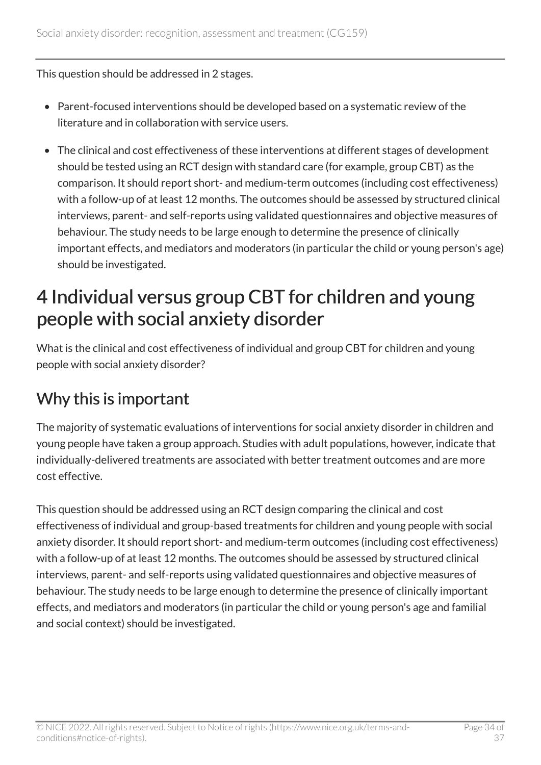This question should be addressed in 2 stages.

- Parent-focused interventions should be developed based on a systematic review of the literature and in collaboration with service users.
- The clinical and cost effectiveness of these interventions at different stages of development should be tested using an RCT design with standard care (for example, group CBT) as the comparison. It should report short- and medium-term outcomes (including cost effectiveness) with a follow-up of at least 12 months. The outcomes should be assessed by structured clinical interviews, parent- and self-reports using validated questionnaires and objective measures of behaviour. The study needs to be large enough to determine the presence of clinically important effects, and mediators and moderators (in particular the child or young person's age) should be investigated.

### <span id="page-33-0"></span>4 Individual versus group CBT for children and young people with social anxiety disorder

What is the clinical and cost effectiveness of individual and group CBT for children and young people with social anxiety disorder?

#### Why this is important

The majority of systematic evaluations of interventions for social anxiety disorder in children and young people have taken a group approach. Studies with adult populations, however, indicate that individually-delivered treatments are associated with better treatment outcomes and are more cost effective.

This question should be addressed using an RCT design comparing the clinical and cost effectiveness of individual and group-based treatments for children and young people with social anxiety disorder. It should report short- and medium-term outcomes (including cost effectiveness) with a follow-up of at least 12 months. The outcomes should be assessed by structured clinical interviews, parent- and self-reports using validated questionnaires and objective measures of behaviour. The study needs to be large enough to determine the presence of clinically important effects, and mediators and moderators (in particular the child or young person's age and familial and social context) should be investigated.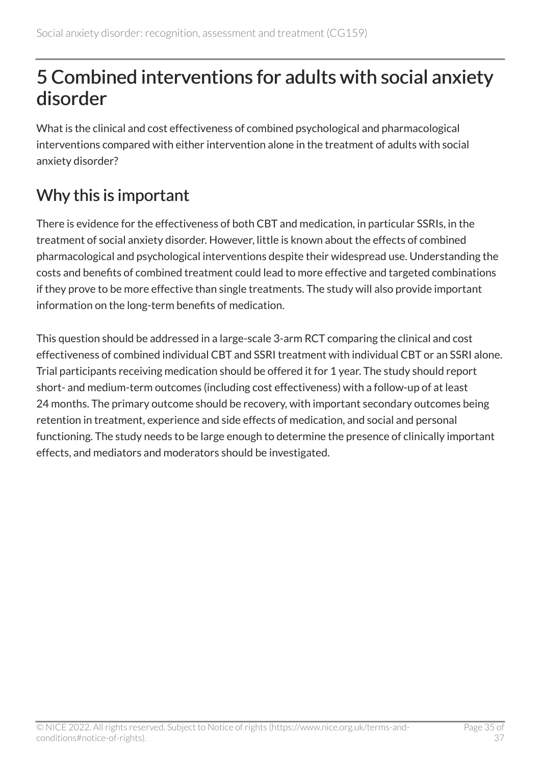## <span id="page-34-0"></span>5 Combined interventions for adults with social anxiety disorder

What is the clinical and cost effectiveness of combined psychological and pharmacological interventions compared with either intervention alone in the treatment of adults with social anxiety disorder?

#### Why this is important

There is evidence for the effectiveness of both CBT and medication, in particular SSRIs, in the treatment of social anxiety disorder. However, little is known about the effects of combined pharmacological and psychological interventions despite their widespread use. Understanding the costs and benefits of combined treatment could lead to more effective and targeted combinations if they prove to be more effective than single treatments. The study will also provide important information on the long-term benefits of medication.

This question should be addressed in a large-scale 3-arm RCT comparing the clinical and cost effectiveness of combined individual CBT and SSRI treatment with individual CBT or an SSRI alone. Trial participants receiving medication should be offered it for 1 year. The study should report short- and medium-term outcomes (including cost effectiveness) with a follow-up of at least 24 months. The primary outcome should be recovery, with important secondary outcomes being retention in treatment, experience and side effects of medication, and social and personal functioning. The study needs to be large enough to determine the presence of clinically important effects, and mediators and moderators should be investigated.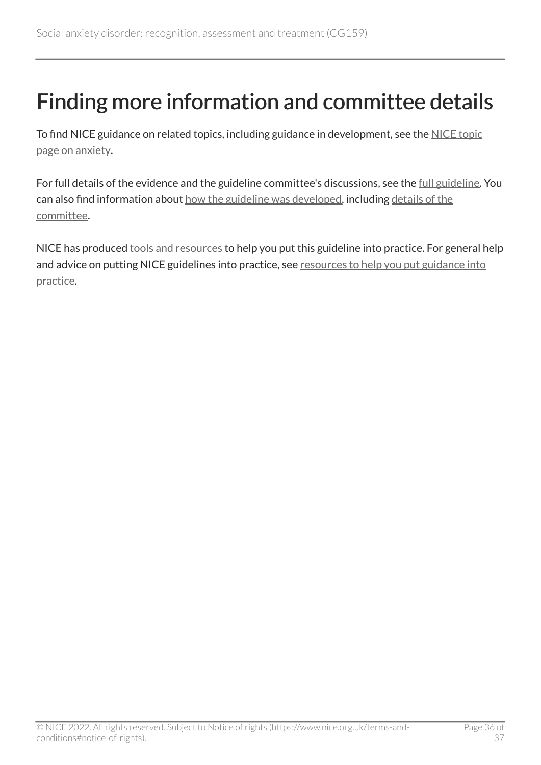## <span id="page-35-0"></span>Finding more information and committee details

To find NICE guidance on related topics, including guidance in development, see the [NICE topic](https://www.nice.org.uk/guidance/conditions-and-diseases/mental-health-and-behavioural-conditions/anxiety) [page on anxiety.](https://www.nice.org.uk/guidance/conditions-and-diseases/mental-health-and-behavioural-conditions/anxiety)

For full details of the evidence and the guideline committee's discussions, see the [full guideline.](https://www.nice.org.uk/Guidance/CG159/evidence) You can also find information about [how the guideline was developed](https://www.nice.org.uk/Guidance/CG159/documents), including details of the [committee.](https://www.nice.org.uk/guidance/cg159/documents/social-anxiety-disorder-gdg-membership-list2)

NICE has produced [tools and resources](https://www.nice.org.uk/guidance/cg159/resources) to help you put this guideline into practice. For general help and advice on putting NICE guidelines into practice, see resources to help you put guidance into [practice](https://www.nice.org.uk/about/what-we-do/into-practice/resources-help-put-guidance-into-practice).